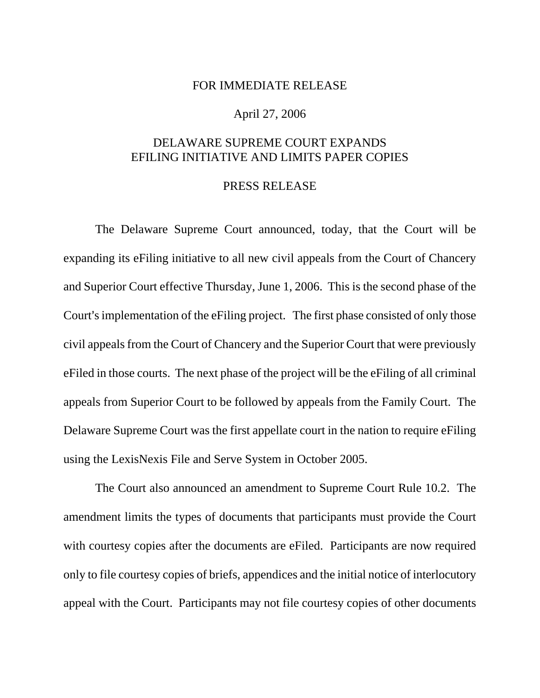## FOR IMMEDIATE RELEASE

## April 27, 2006

## DELAWARE SUPREME COURT EXPANDS EFILING INITIATIVE AND LIMITS PAPER COPIES

## PRESS RELEASE

The Delaware Supreme Court announced, today, that the Court will be expanding its eFiling initiative to all new civil appeals from the Court of Chancery and Superior Court effective Thursday, June 1, 2006. This is the second phase of the Court's implementation of the eFiling project. The first phase consisted of only those civil appeals from the Court of Chancery and the Superior Court that were previously eFiled in those courts. The next phase of the project will be the eFiling of all criminal appeals from Superior Court to be followed by appeals from the Family Court. The Delaware Supreme Court was the first appellate court in the nation to require eFiling using the LexisNexis File and Serve System in October 2005.

The Court also announced an amendment to Supreme Court Rule 10.2. The amendment limits the types of documents that participants must provide the Court with courtesy copies after the documents are eFiled. Participants are now required only to file courtesy copies of briefs, appendices and the initial notice of interlocutory appeal with the Court. Participants may not file courtesy copies of other documents